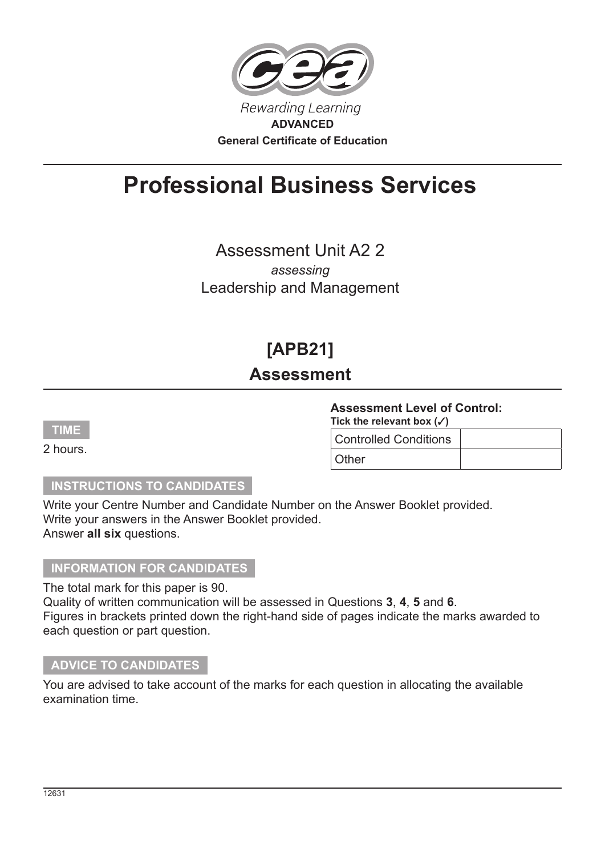

# **Professional Business Services**

Assessment Unit A2 2 *assessing*

Leadership and Management

## **[APB21]**

## **Assessment**

**TIME**

2 hours.

### **Assessment Level of Control:**

**Tick the relevant box ()**

Controlled Conditions **Other** 

#### **INSTRUCTIONS TO CANDIDATES**

Write your Centre Number and Candidate Number on the Answer Booklet provided. Write your answers in the Answer Booklet provided. Answer **all six** questions.

#### **INFORMATION FOR CANDIDATES**

The total mark for this paper is 90. Quality of written communication will be assessed in Questions **3**, **4**, **5** and **6**. Figures in brackets printed down the right-hand side of pages indicate the marks awarded to each question or part question.

#### **ADVICE TO CANDIDATES**

You are advised to take account of the marks for each question in allocating the available examination time.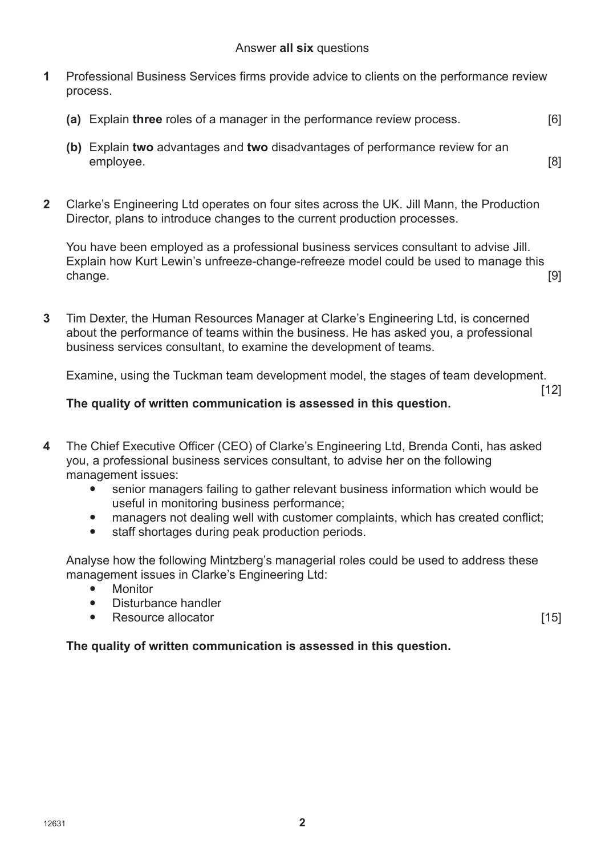- **1** Professional Business Services firms provide advice to clients on the performance review process.
	- **(a)** Explain **three** roles of a manager in the performance review process. [6]
	- **(b)** Explain **two** advantages and **two** disadvantages of performance review for an employee. [8]
- **2** Clarke's Engineering Ltd operates on four sites across the UK. Jill Mann, the Production Director, plans to introduce changes to the current production processes.

You have been employed as a professional business services consultant to advise Jill. Explain how Kurt Lewin's unfreeze-change-refreeze model could be used to manage this change. [9]

**3** Tim Dexter, the Human Resources Manager at Clarke's Engineering Ltd, is concerned about the performance of teams within the business. He has asked you, a professional business services consultant, to examine the development of teams.

Examine, using the Tuckman team development model, the stages of team development.

#### **The quality of written communication is assessed in this question.**

- **4** The Chief Executive Officer (CEO) of Clarke's Engineering Ltd, Brenda Conti, has asked you, a professional business services consultant, to advise her on the following management issues:
	- senior managers failing to gather relevant business information which would be useful in monitoring business performance;
	- managers not dealing well with customer complaints, which has created conflict;
	- staff shortages during peak production periods.

Analyse how the following Mintzberg's managerial roles could be used to address these management issues in Clarke's Engineering Ltd:

- Monitor
- Disturbance handler
- Resource allocator [15]

[12]

#### **The quality of written communication is assessed in this question.**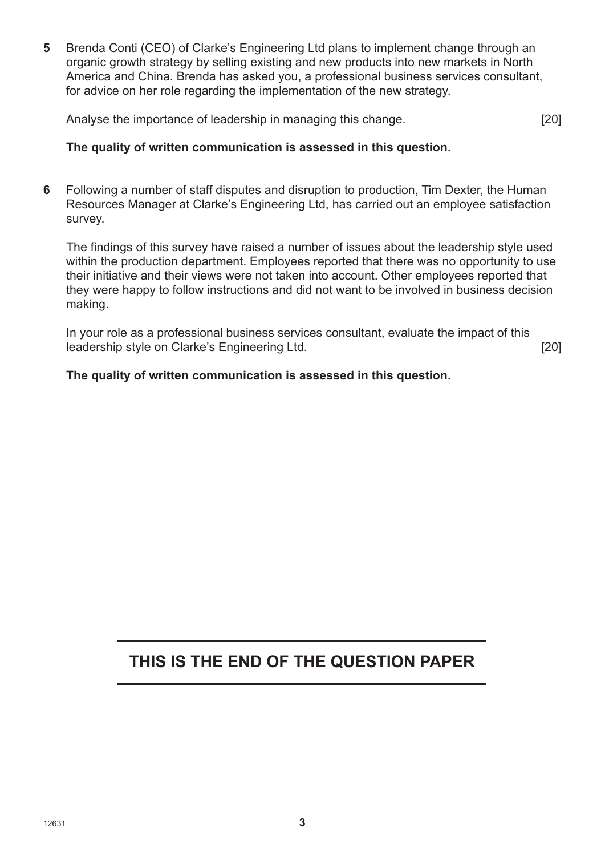**5** Brenda Conti (CEO) of Clarke's Engineering Ltd plans to implement change through an organic growth strategy by selling existing and new products into new markets in North America and China. Brenda has asked you, a professional business services consultant, for advice on her role regarding the implementation of the new strategy.

Analyse the importance of leadership in managing this change. [20]

#### **The quality of written communication is assessed in this question.**

**6** Following a number of staff disputes and disruption to production, Tim Dexter, the Human Resources Manager at Clarke's Engineering Ltd, has carried out an employee satisfaction survey.

The findings of this survey have raised a number of issues about the leadership style used within the production department. Employees reported that there was no opportunity to use their initiative and their views were not taken into account. Other employees reported that they were happy to follow instructions and did not want to be involved in business decision making.

In your role as a professional business services consultant, evaluate the impact of this leadership style on Clarke's Engineering Ltd. [20]

#### **The quality of written communication is assessed in this question.**

## **THIS IS THE END OF THE QUESTION PAPER**